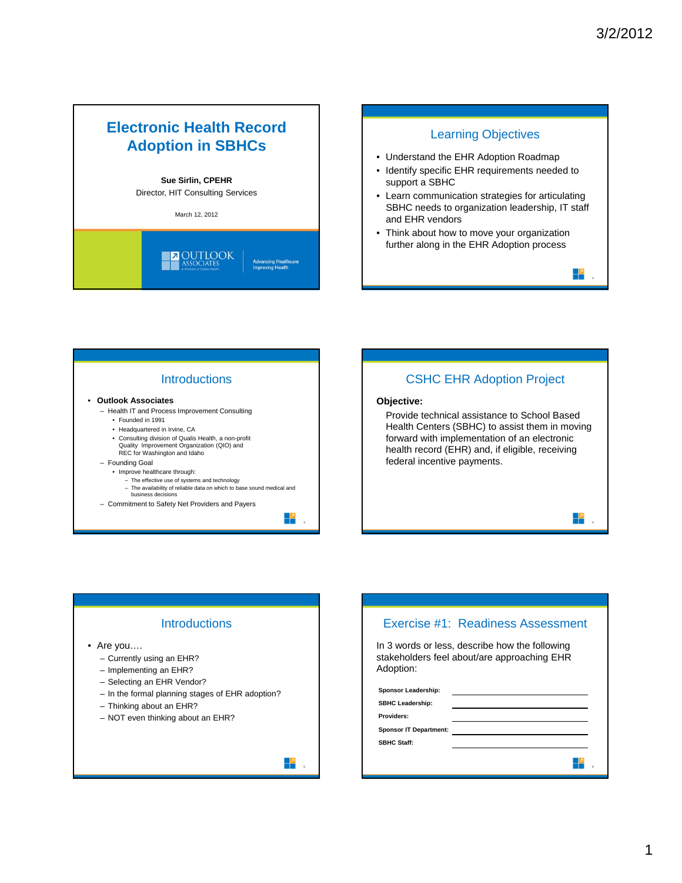# **Electronic Health Record Adoption in SBHCs**

#### **Sue Sirlin, CPEHR**

Director, HIT Consulting Services

March 12, 2012





### **Introductions**

#### • **Outlook Associates**

- Health IT and Process Improvement Consulting
	- Founded in 1991
	- Headquartered in Irvine, CA
	- Consulting division of Qualis Health, a non-profit Quality Improvement Organization (QIO) and REC for Washington and Idaho
- Founding Goal
	- Improve healthcare through:
		- The effective use of systems and technology
		- The availability of reliable data on which to base sound medical and business decisions
- Commitment to Safety Net Providers and Payers

╬

╬

3

### CSHC EHR Adoption Project

#### **Objective:**

Provide technical assistance to School Based Health Centers (SBHC) to assist them in moving forward with implementation of an electronic health record (EHR) and, if eligible, receiving federal incentive payments.

# **Introductions**

- Are you….
	- Currently using an EHR?
	- Implementing an EHR?
	- Selecting an EHR Vendor?
	- In the formal planning stages of EHR adoption?
	- Thinking about an EHR?
	- NOT even thinking about an EHR?

# Exercise #1: Readiness Assessment In 3 words or less, describe how the following stakeholders feel about/are approaching EHR Adoption: **Sponsor Leadership: SBHC Leadership: Providers: Sponsor IT Department: SBHC Staff:** ╬

4

╃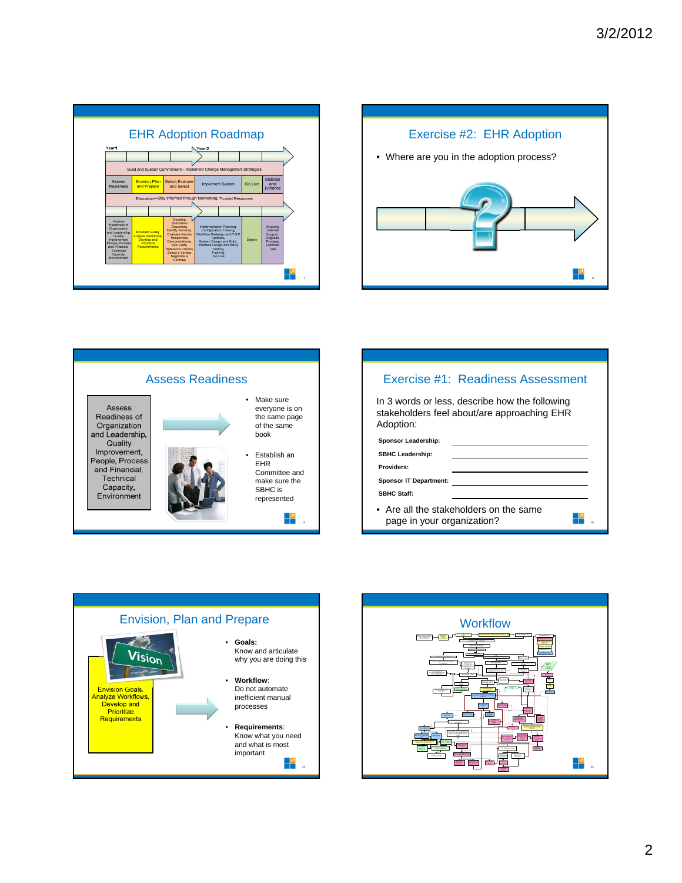









10

 $\mathbb{R}^2$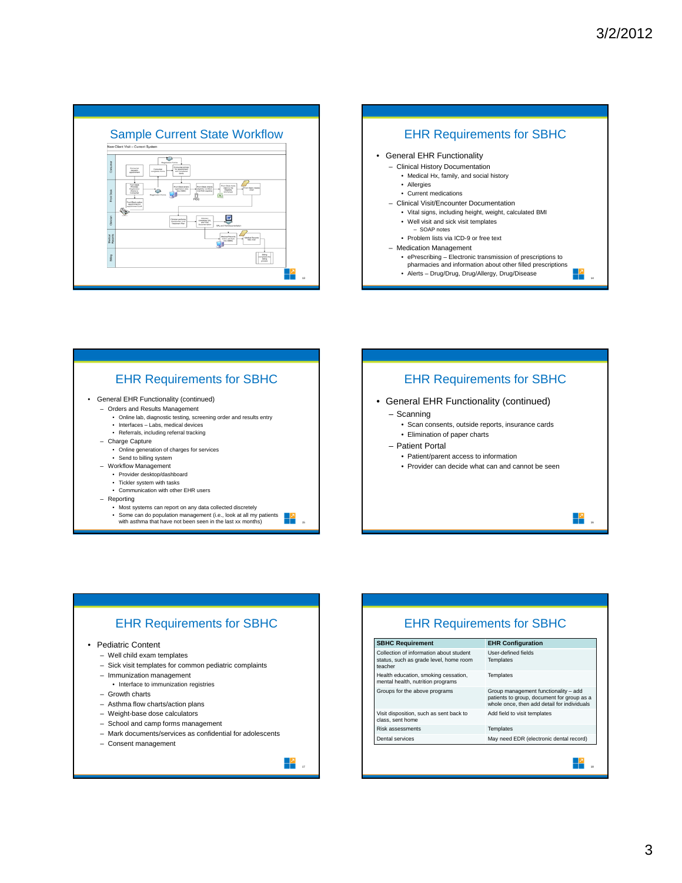









### 3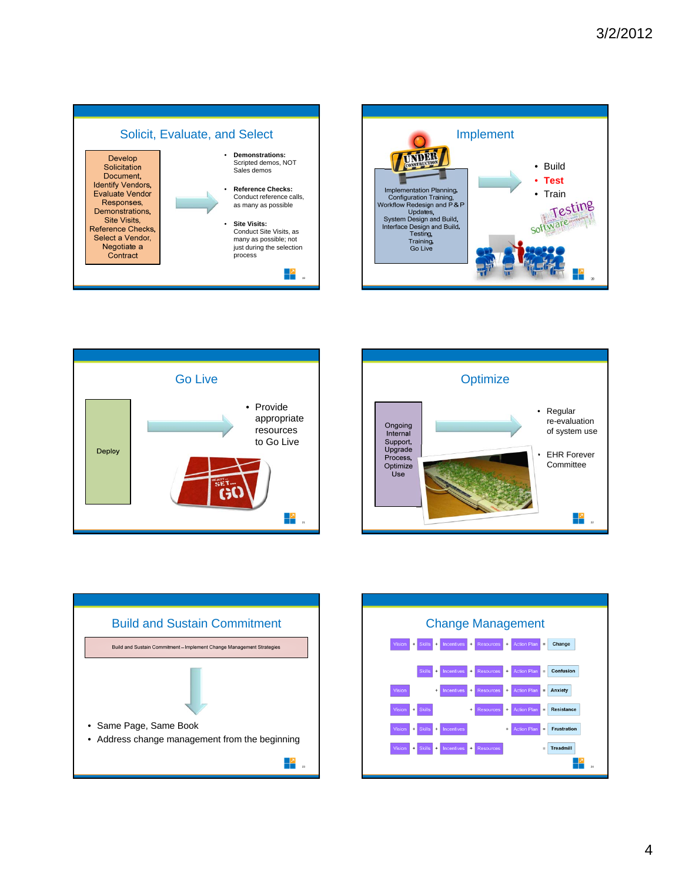